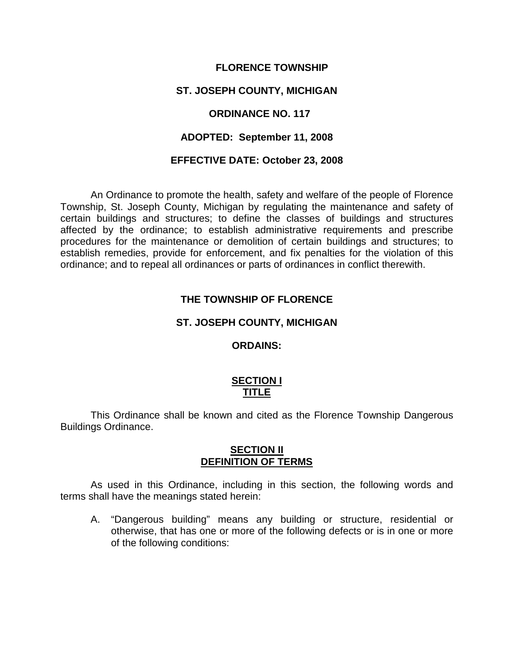### **FLORENCE TOWNSHIP**

### **ST. JOSEPH COUNTY, MICHIGAN**

### **ORDINANCE NO. 117**

### **ADOPTED: September 11, 2008**

#### **EFFECTIVE DATE: October 23, 2008**

An Ordinance to promote the health, safety and welfare of the people of Florence Township, St. Joseph County, Michigan by regulating the maintenance and safety of certain buildings and structures; to define the classes of buildings and structures affected by the ordinance; to establish administrative requirements and prescribe procedures for the maintenance or demolition of certain buildings and structures; to establish remedies, provide for enforcement, and fix penalties for the violation of this ordinance; and to repeal all ordinances or parts of ordinances in conflict therewith.

### **THE TOWNSHIP OF FLORENCE**

#### **ST. JOSEPH COUNTY, MICHIGAN**

### **ORDAINS:**

### **SECTION I TITLE**

This Ordinance shall be known and cited as the Florence Township Dangerous Buildings Ordinance.

### **SECTION II DEFINITION OF TERMS**

As used in this Ordinance, including in this section, the following words and terms shall have the meanings stated herein:

A. "Dangerous building" means any building or structure, residential or otherwise, that has one or more of the following defects or is in one or more of the following conditions: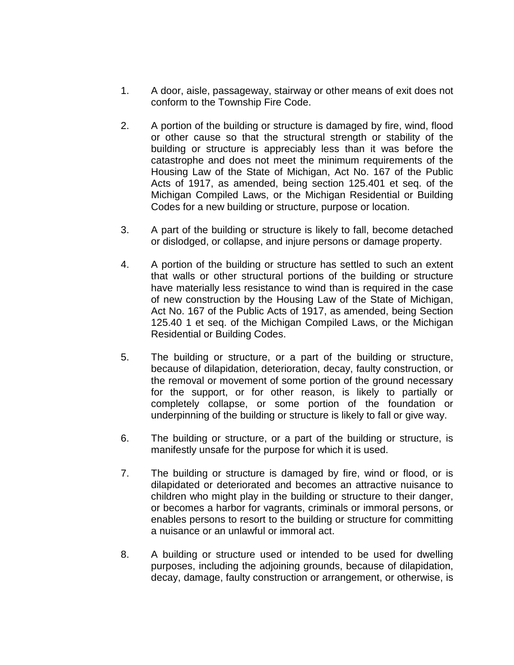- 1. A door, aisle, passageway, stairway or other means of exit does not conform to the Township Fire Code.
- 2. A portion of the building or structure is damaged by fire, wind, flood or other cause so that the structural strength or stability of the building or structure is appreciably less than it was before the catastrophe and does not meet the minimum requirements of the Housing Law of the State of Michigan, Act No. 167 of the Public Acts of 1917, as amended, being section 125.401 et seq. of the Michigan Compiled Laws, or the Michigan Residential or Building Codes for a new building or structure, purpose or location.
- 3. A part of the building or structure is likely to fall, become detached or dislodged, or collapse, and injure persons or damage property.
- 4. A portion of the building or structure has settled to such an extent that walls or other structural portions of the building or structure have materially less resistance to wind than is required in the case of new construction by the Housing Law of the State of Michigan, Act No. 167 of the Public Acts of 1917, as amended, being Section 125.40 1 et seq. of the Michigan Compiled Laws, or the Michigan Residential or Building Codes.
- 5. The building or structure, or a part of the building or structure, because of dilapidation, deterioration, decay, faulty construction, or the removal or movement of some portion of the ground necessary for the support, or for other reason, is likely to partially or completely collapse, or some portion of the foundation or underpinning of the building or structure is likely to fall or give way.
- 6. The building or structure, or a part of the building or structure, is manifestly unsafe for the purpose for which it is used.
- 7. The building or structure is damaged by fire, wind or flood, or is dilapidated or deteriorated and becomes an attractive nuisance to children who might play in the building or structure to their danger, or becomes a harbor for vagrants, criminals or immoral persons, or enables persons to resort to the building or structure for committing a nuisance or an unlawful or immoral act.
- 8. A building or structure used or intended to be used for dwelling purposes, including the adjoining grounds, because of dilapidation, decay, damage, faulty construction or arrangement, or otherwise, is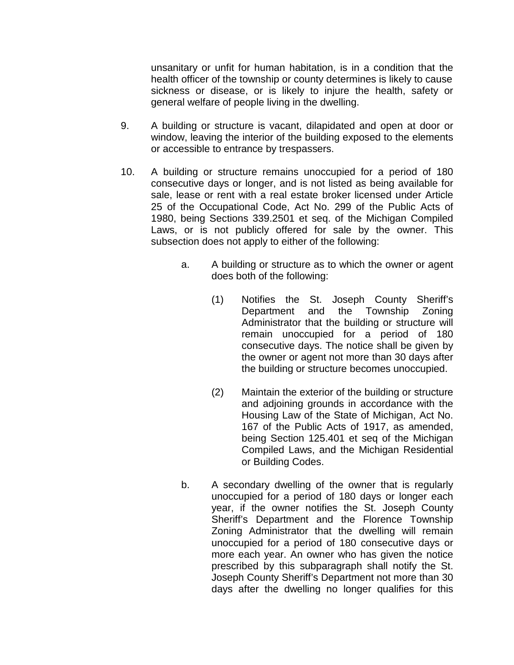unsanitary or unfit for human habitation, is in a condition that the health officer of the township or county determines is likely to cause sickness or disease, or is likely to injure the health, safety or general welfare of people living in the dwelling.

- 9. A building or structure is vacant, dilapidated and open at door or window, leaving the interior of the building exposed to the elements or accessible to entrance by trespassers.
- 10. A building or structure remains unoccupied for a period of 180 consecutive days or longer, and is not listed as being available for sale, lease or rent with a real estate broker licensed under Article 25 of the Occupational Code, Act No. 299 of the Public Acts of 1980, being Sections 339.2501 et seq. of the Michigan Compiled Laws, or is not publicly offered for sale by the owner. This subsection does not apply to either of the following:
	- a. A building or structure as to which the owner or agent does both of the following:
		- (1) Notifies the St. Joseph County Sheriff's Department and the Township Zoning Administrator that the building or structure will remain unoccupied for a period of 180 consecutive days. The notice shall be given by the owner or agent not more than 30 days after the building or structure becomes unoccupied.
		- (2) Maintain the exterior of the building or structure and adjoining grounds in accordance with the Housing Law of the State of Michigan, Act No. 167 of the Public Acts of 1917, as amended, being Section 125.401 et seq of the Michigan Compiled Laws, and the Michigan Residential or Building Codes.
	- b. A secondary dwelling of the owner that is regularly unoccupied for a period of 180 days or longer each year, if the owner notifies the St. Joseph County Sheriff's Department and the Florence Township Zoning Administrator that the dwelling will remain unoccupied for a period of 180 consecutive days or more each year. An owner who has given the notice prescribed by this subparagraph shall notify the St. Joseph County Sheriff's Department not more than 30 days after the dwelling no longer qualifies for this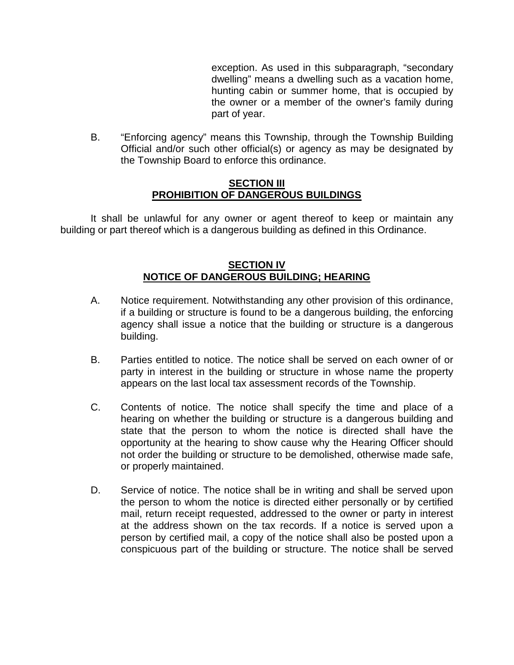exception. As used in this subparagraph, "secondary dwelling" means a dwelling such as a vacation home, hunting cabin or summer home, that is occupied by the owner or a member of the owner's family during part of year.

B. "Enforcing agency" means this Township, through the Township Building Official and/or such other official(s) or agency as may be designated by the Township Board to enforce this ordinance.

### **SECTION III PROHIBITION OF DANGEROUS BUILDINGS**

It shall be unlawful for any owner or agent thereof to keep or maintain any building or part thereof which is a dangerous building as defined in this Ordinance.

# **SECTION IV NOTICE OF DANGEROUS BUILDING; HEARING**

- A. Notice requirement. Notwithstanding any other provision of this ordinance, if a building or structure is found to be a dangerous building, the enforcing agency shall issue a notice that the building or structure is a dangerous building.
- B. Parties entitled to notice. The notice shall be served on each owner of or party in interest in the building or structure in whose name the property appears on the last local tax assessment records of the Township.
- C. Contents of notice. The notice shall specify the time and place of a hearing on whether the building or structure is a dangerous building and state that the person to whom the notice is directed shall have the opportunity at the hearing to show cause why the Hearing Officer should not order the building or structure to be demolished, otherwise made safe, or properly maintained.
- D. Service of notice. The notice shall be in writing and shall be served upon the person to whom the notice is directed either personally or by certified mail, return receipt requested, addressed to the owner or party in interest at the address shown on the tax records. If a notice is served upon a person by certified mail, a copy of the notice shall also be posted upon a conspicuous part of the building or structure. The notice shall be served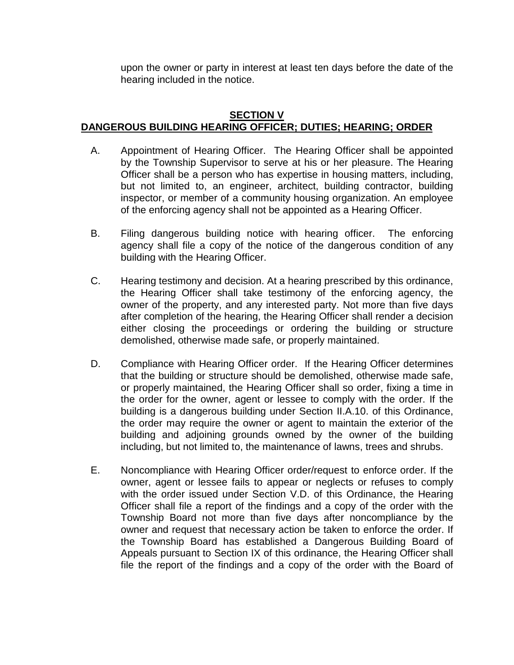upon the owner or party in interest at least ten days before the date of the hearing included in the notice.

# **SECTION V DANGEROUS BUILDING HEARING OFFICER; DUTIES; HEARING; ORDER**

- A. Appointment of Hearing Officer. The Hearing Officer shall be appointed by the Township Supervisor to serve at his or her pleasure. The Hearing Officer shall be a person who has expertise in housing matters, including, but not limited to, an engineer, architect, building contractor, building inspector, or member of a community housing organization. An employee of the enforcing agency shall not be appointed as a Hearing Officer.
- B. Filing dangerous building notice with hearing officer. The enforcing agency shall file a copy of the notice of the dangerous condition of any building with the Hearing Officer.
- C. Hearing testimony and decision. At a hearing prescribed by this ordinance, the Hearing Officer shall take testimony of the enforcing agency, the owner of the property, and any interested party. Not more than five days after completion of the hearing, the Hearing Officer shall render a decision either closing the proceedings or ordering the building or structure demolished, otherwise made safe, or properly maintained.
- D. Compliance with Hearing Officer order. If the Hearing Officer determines that the building or structure should be demolished, otherwise made safe, or properly maintained, the Hearing Officer shall so order, fixing a time in the order for the owner, agent or lessee to comply with the order. If the building is a dangerous building under Section II.A.10. of this Ordinance, the order may require the owner or agent to maintain the exterior of the building and adjoining grounds owned by the owner of the building including, but not limited to, the maintenance of lawns, trees and shrubs.
- E. Noncompliance with Hearing Officer order/request to enforce order. If the owner, agent or lessee fails to appear or neglects or refuses to comply with the order issued under Section V.D. of this Ordinance, the Hearing Officer shall file a report of the findings and a copy of the order with the Township Board not more than five days after noncompliance by the owner and request that necessary action be taken to enforce the order. If the Township Board has established a Dangerous Building Board of Appeals pursuant to Section IX of this ordinance, the Hearing Officer shall file the report of the findings and a copy of the order with the Board of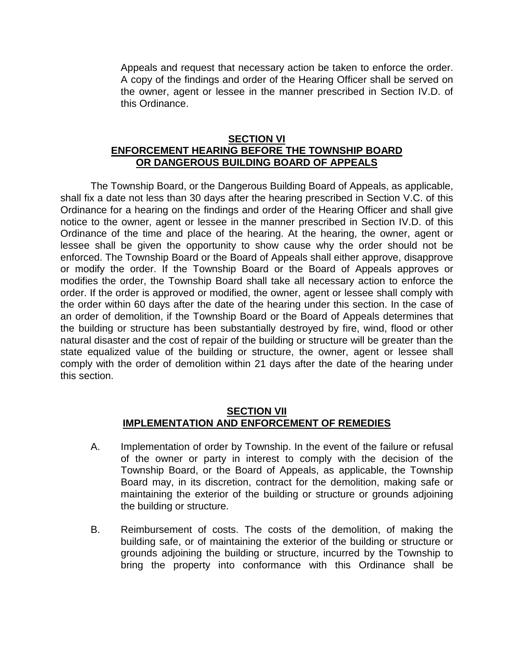Appeals and request that necessary action be taken to enforce the order. A copy of the findings and order of the Hearing Officer shall be served on the owner, agent or lessee in the manner prescribed in Section IV.D. of this Ordinance.

## **SECTION VI ENFORCEMENT HEARING BEFORE THE TOWNSHIP BOARD OR DANGEROUS BUILDING BOARD OF APPEALS**

The Township Board, or the Dangerous Building Board of Appeals, as applicable, shall fix a date not less than 30 days after the hearing prescribed in Section V.C. of this Ordinance for a hearing on the findings and order of the Hearing Officer and shall give notice to the owner, agent or lessee in the manner prescribed in Section IV.D. of this Ordinance of the time and place of the hearing. At the hearing, the owner, agent or lessee shall be given the opportunity to show cause why the order should not be enforced. The Township Board or the Board of Appeals shall either approve, disapprove or modify the order. If the Township Board or the Board of Appeals approves or modifies the order, the Township Board shall take all necessary action to enforce the order. If the order is approved or modified, the owner, agent or lessee shall comply with the order within 60 days after the date of the hearing under this section. In the case of an order of demolition, if the Township Board or the Board of Appeals determines that the building or structure has been substantially destroyed by fire, wind, flood or other natural disaster and the cost of repair of the building or structure will be greater than the state equalized value of the building or structure, the owner, agent or lessee shall comply with the order of demolition within 21 days after the date of the hearing under this section.

### **SECTION VII IMPLEMENTATION AND ENFORCEMENT OF REMEDIES**

- A. Implementation of order by Township. In the event of the failure or refusal of the owner or party in interest to comply with the decision of the Township Board, or the Board of Appeals, as applicable, the Township Board may, in its discretion, contract for the demolition, making safe or maintaining the exterior of the building or structure or grounds adjoining the building or structure.
- B. Reimbursement of costs. The costs of the demolition, of making the building safe, or of maintaining the exterior of the building or structure or grounds adjoining the building or structure, incurred by the Township to bring the property into conformance with this Ordinance shall be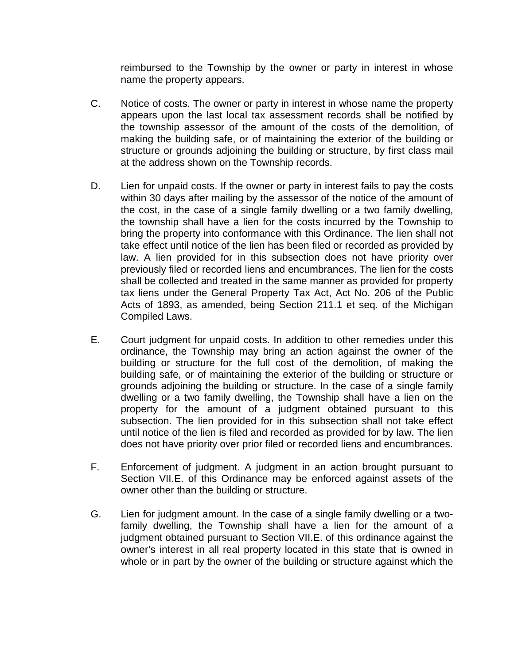reimbursed to the Township by the owner or party in interest in whose name the property appears.

- C. Notice of costs. The owner or party in interest in whose name the property appears upon the last local tax assessment records shall be notified by the township assessor of the amount of the costs of the demolition, of making the building safe, or of maintaining the exterior of the building or structure or grounds adjoining the building or structure, by first class mail at the address shown on the Township records.
- D. Lien for unpaid costs. If the owner or party in interest fails to pay the costs within 30 days after mailing by the assessor of the notice of the amount of the cost, in the case of a single family dwelling or a two family dwelling, the township shall have a lien for the costs incurred by the Township to bring the property into conformance with this Ordinance. The lien shall not take effect until notice of the lien has been filed or recorded as provided by law. A lien provided for in this subsection does not have priority over previously filed or recorded liens and encumbrances. The lien for the costs shall be collected and treated in the same manner as provided for property tax liens under the General Property Tax Act, Act No. 206 of the Public Acts of 1893, as amended, being Section 211.1 et seq. of the Michigan Compiled Laws.
- E. Court judgment for unpaid costs. In addition to other remedies under this ordinance, the Township may bring an action against the owner of the building or structure for the full cost of the demolition, of making the building safe, or of maintaining the exterior of the building or structure or grounds adjoining the building or structure. In the case of a single family dwelling or a two family dwelling, the Township shall have a lien on the property for the amount of a judgment obtained pursuant to this subsection. The lien provided for in this subsection shall not take effect until notice of the lien is filed and recorded as provided for by law. The lien does not have priority over prior filed or recorded liens and encumbrances.
- F. Enforcement of judgment. A judgment in an action brought pursuant to Section VII.E. of this Ordinance may be enforced against assets of the owner other than the building or structure.
- G. Lien for judgment amount. In the case of a single family dwelling or a twofamily dwelling, the Township shall have a lien for the amount of a judgment obtained pursuant to Section VII.E. of this ordinance against the owner's interest in all real property located in this state that is owned in whole or in part by the owner of the building or structure against which the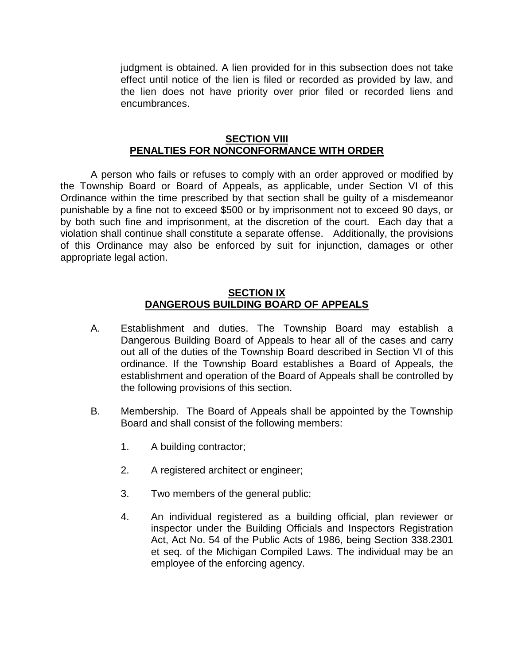judgment is obtained. A lien provided for in this subsection does not take effect until notice of the lien is filed or recorded as provided by law, and the lien does not have priority over prior filed or recorded liens and encumbrances.

#### **SECTION VIII PENALTIES FOR NONCONFORMANCE WITH ORDER**

A person who fails or refuses to comply with an order approved or modified by the Township Board or Board of Appeals, as applicable, under Section VI of this Ordinance within the time prescribed by that section shall be guilty of a misdemeanor punishable by a fine not to exceed \$500 or by imprisonment not to exceed 90 days, or by both such fine and imprisonment, at the discretion of the court. Each day that a violation shall continue shall constitute a separate offense. Additionally, the provisions of this Ordinance may also be enforced by suit for injunction, damages or other appropriate legal action.

### **SECTION IX DANGEROUS BUILDING BOARD OF APPEALS**

- A. Establishment and duties. The Township Board may establish a Dangerous Building Board of Appeals to hear all of the cases and carry out all of the duties of the Township Board described in Section VI of this ordinance. If the Township Board establishes a Board of Appeals, the establishment and operation of the Board of Appeals shall be controlled by the following provisions of this section.
- B. Membership. The Board of Appeals shall be appointed by the Township Board and shall consist of the following members:
	- 1. A building contractor;
	- 2. A registered architect or engineer;
	- 3. Two members of the general public;
	- 4. An individual registered as a building official, plan reviewer or inspector under the Building Officials and Inspectors Registration Act, Act No. 54 of the Public Acts of 1986, being Section 338.2301 et seq. of the Michigan Compiled Laws. The individual may be an employee of the enforcing agency.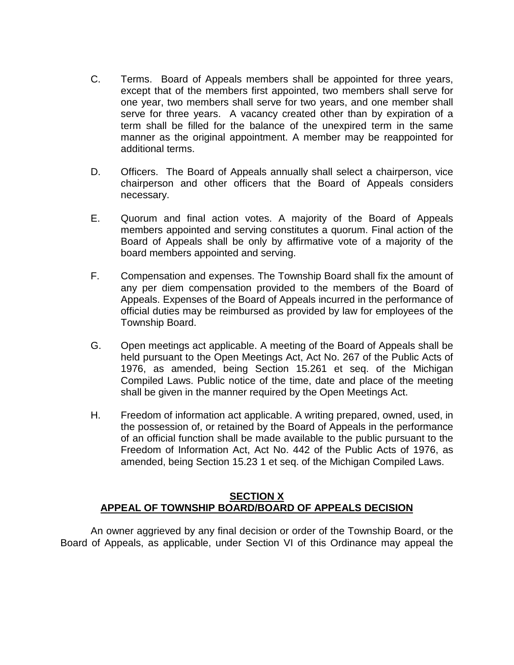- C. Terms. Board of Appeals members shall be appointed for three years, except that of the members first appointed, two members shall serve for one year, two members shall serve for two years, and one member shall serve for three years. A vacancy created other than by expiration of a term shall be filled for the balance of the unexpired term in the same manner as the original appointment. A member may be reappointed for additional terms.
- D. Officers. The Board of Appeals annually shall select a chairperson, vice chairperson and other officers that the Board of Appeals considers necessary.
- E. Quorum and final action votes. A majority of the Board of Appeals members appointed and serving constitutes a quorum. Final action of the Board of Appeals shall be only by affirmative vote of a majority of the board members appointed and serving.
- F. Compensation and expenses. The Township Board shall fix the amount of any per diem compensation provided to the members of the Board of Appeals. Expenses of the Board of Appeals incurred in the performance of official duties may be reimbursed as provided by law for employees of the Township Board.
- G. Open meetings act applicable. A meeting of the Board of Appeals shall be held pursuant to the Open Meetings Act, Act No. 267 of the Public Acts of 1976, as amended, being Section 15.261 et seq. of the Michigan Compiled Laws. Public notice of the time, date and place of the meeting shall be given in the manner required by the Open Meetings Act.
- H. Freedom of information act applicable. A writing prepared, owned, used, in the possession of, or retained by the Board of Appeals in the performance of an official function shall be made available to the public pursuant to the Freedom of Information Act, Act No. 442 of the Public Acts of 1976, as amended, being Section 15.23 1 et seq. of the Michigan Compiled Laws.

## **SECTION X APPEAL OF TOWNSHIP BOARD/BOARD OF APPEALS DECISION**

An owner aggrieved by any final decision or order of the Township Board, or the Board of Appeals, as applicable, under Section VI of this Ordinance may appeal the